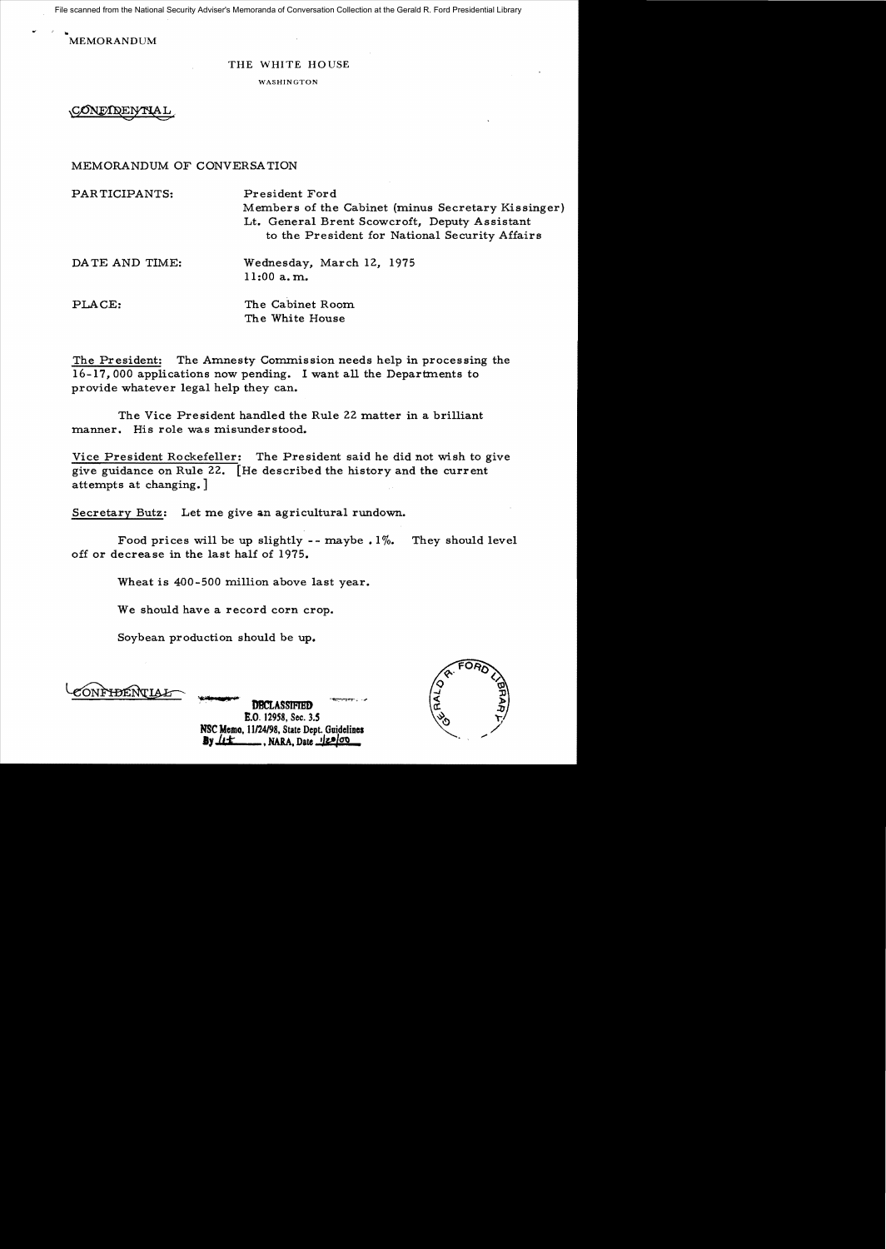File scanned from the National Security Adviser's Memoranda of Conversation Collection at the Gerald R. Ford Presidential Library

MEMORANDUM

## THE WHITE HOUSE

WASHINGTON

**CONE/IDEI** 

## MEMORANDUM OF CONVERSATION

| PARTICIPANTS:  | President Ford<br>Members of the Cabinet (minus Secretary Kissinger)<br>Lt. General Brent Scowcroft, Deputy Assistant<br>to the President for National Security Affairs |
|----------------|-------------------------------------------------------------------------------------------------------------------------------------------------------------------------|
| DATE AND TIME: | Wednesday, March 12, 1975<br>$11:00$ a.m.                                                                                                                               |
| PLACE:         | The Cabinet Room<br>The White House                                                                                                                                     |

The President: The Amnesty Commission needs help in processing the  $16-17$ , 000 applications now pending. I want all the Departments to provide whatever legal help they can.

The Vice President handled the Rule 22 matter in a brilliant manner. His role was misunderstood.

Vice President Rockefeller: The President said he did not wish to give give guidance on Rule 22. [He described the history and the current attempts at changing.]

Secretary Butz: Let me give an agricultural rundown.

Food prices will be up slightly  $-$ - maybe . 1%. They should level off or decrease in the last half of 1975.

Wheat is 400-500 million above last year.

We should have a record corn crop.

Soybean production should be up.

ÓNF<del>ID</del>ENTIA

**DBCLASSIFIED** B.O. 12958, Sec. *3.S*  NSC Memo, 11/24/98, State Dept. Guidelines **By** *L***E , NARA**, Date 120100

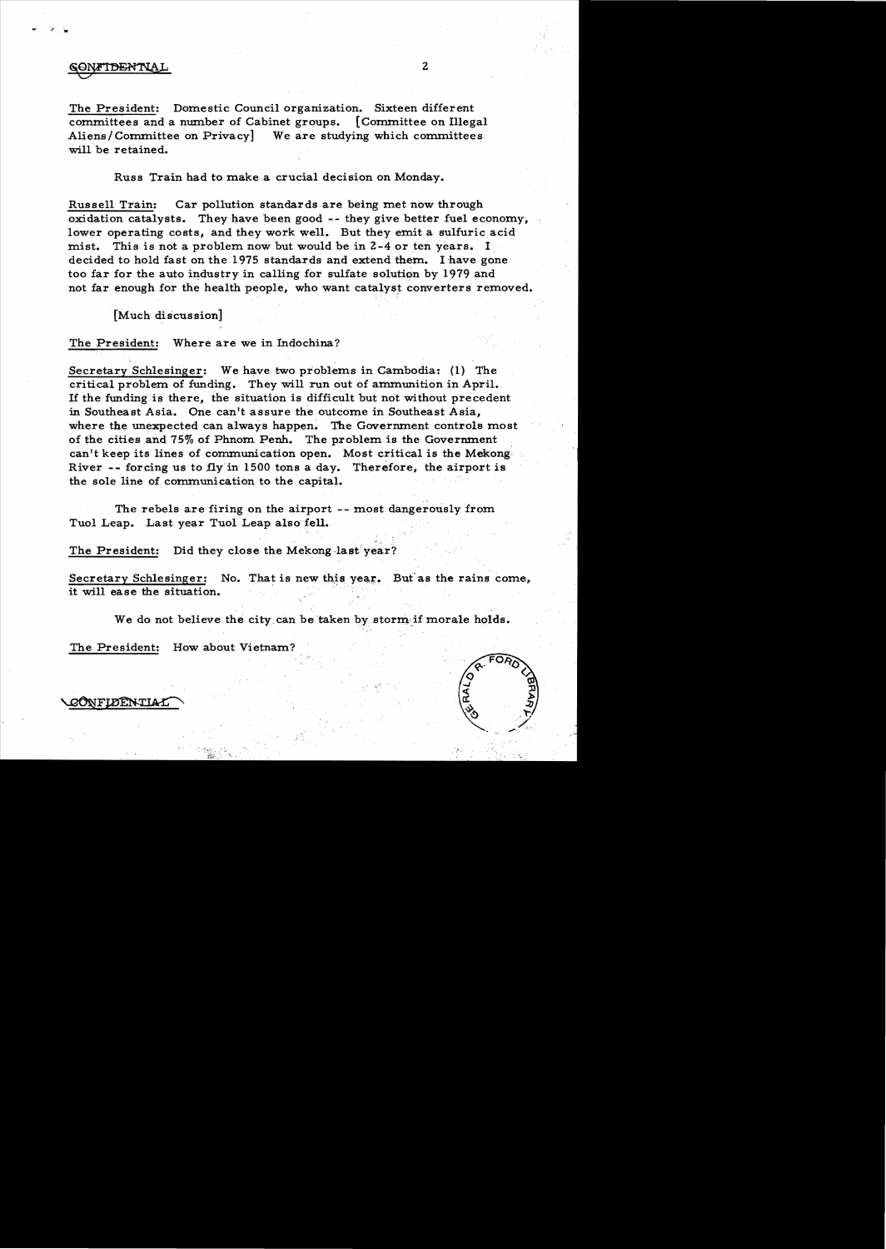## **FIDENTIAL**

The President: Domestic Council organization. Sixteen different committees and a number of Cabinet groups. [Committee on Illegal Aliens/Committee on Privacy] We are studying which committees will be retained.

Russ Train had to make a crucial decision on Monday.

Russell Train: Car pollution standards are being met now through oxidation catalysts. They have been good -- they give better fuel economy, lower operating costs, and they work well. But they emit a sulfuric acid mist. This is not a problem now but would be in  $2-4$  or ten years. I decided to hold fast on the 1975 standards and extend them. I have gone too far for the auto industry in calling for sulfate solution by 1979 and not far enough for the health people, who want catalyst converters removed.

[Much discussion]

The President: Where are we in Indochina?

Secretary Schlesinger: We have two problems in Cambodia: (1) The critical problem of funding. They will run out of ammunition in April. If the funding is there, the situation is difficult but not without precedent in Southeast Asia. One can't assure the outcome in Southeast Asia, where the unexpected can always happen. The Government controls most of the cities and 75% of Phnom Penh. The problem is the Government can't keep its lines of communication open. Most critical is the Mekong River -- forcing us to fly in 1500 tons a day. Therefore, the airport is the sole line of communication to the capital.

The rebels are firing on the airport -- most dangerously from Tuol Leap. Last year Tuol Leap also fell.

The President: Did they close the Mekong-last year?

Secretary Schlesinger: No. That is new this year. But as the rains come, it will ease the situation.

We do not believe the city can be taken by storm if morale holds.

, . ,

The President: How about Vietnam'



**YONFLIDENTIAL**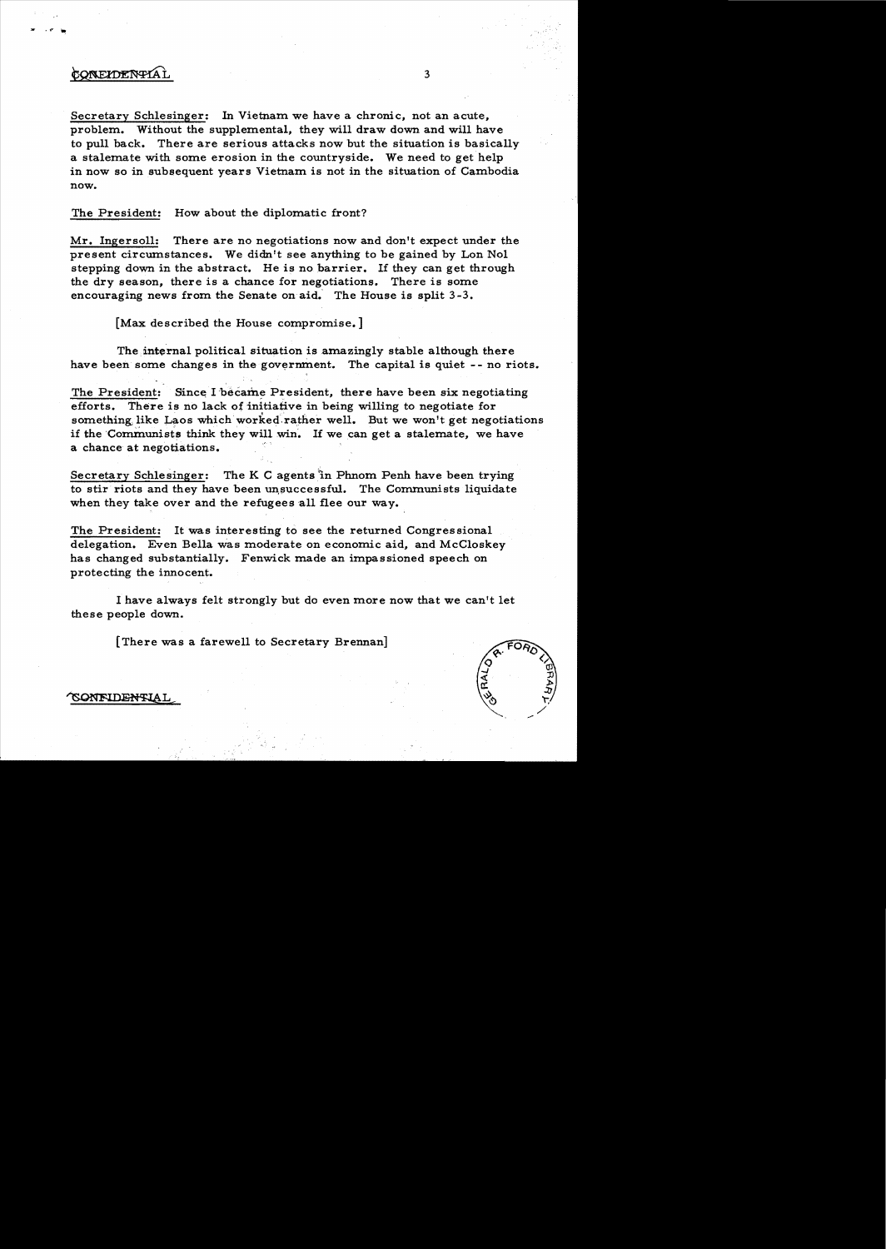## CONEIDENTIAL

Secretary Schlesinger: In Vietnam we have a chronic, not an acute, problem. Without the supplemental, they will draw down and will have to pull back. There are serious attacks now but the situation is basically a stalemate with some erosion in the countryside. We need to get help in now so in subsequent years Vietnam is not in the situation of Cambodia now.

The President: How about the diplomatic front?

Mr. Ingersoll: There are no negotiations now and don't expect under the present circumstances. We didn't see anything to be gained by Lon Nol stepping down in the abstract. He is no barrier. If they can get through the dry season, there is a chance for negotiations. There is some encouraging news from the Senate on aid. The House is split 3-3.

[Max described the House compromise.]

The internal political situation is amazingly stable although there have been some changes in the government. The capital is quiet -- no riots.

The President: Since I became President, there have been six negotiating efforts. There is no lack of initiative in being willing to negotiate for something, like Laos which worked rather well. But we won't get negotiations if the Communists think they will win. If we can get a stalemate, we have a chance at negotiations.

Secretary Schlesinger: The K C agents in Phnom Penh have been trying to stir riots and they have been unsuccessful. The Communists liquidate when they take over and the refugees all flee our way.

The President: It was interesting to see the returned Congressional delegation. Even Bella Was moderate on economic aid, and McCloskey has changed substantially. Fenwick made an impassioned speech on protecting the innocent.

I have always felt strongly but do even more now that we can't let these people down.

[There was a farewell to Secretary Brennan]



**ONFIDENTIAI**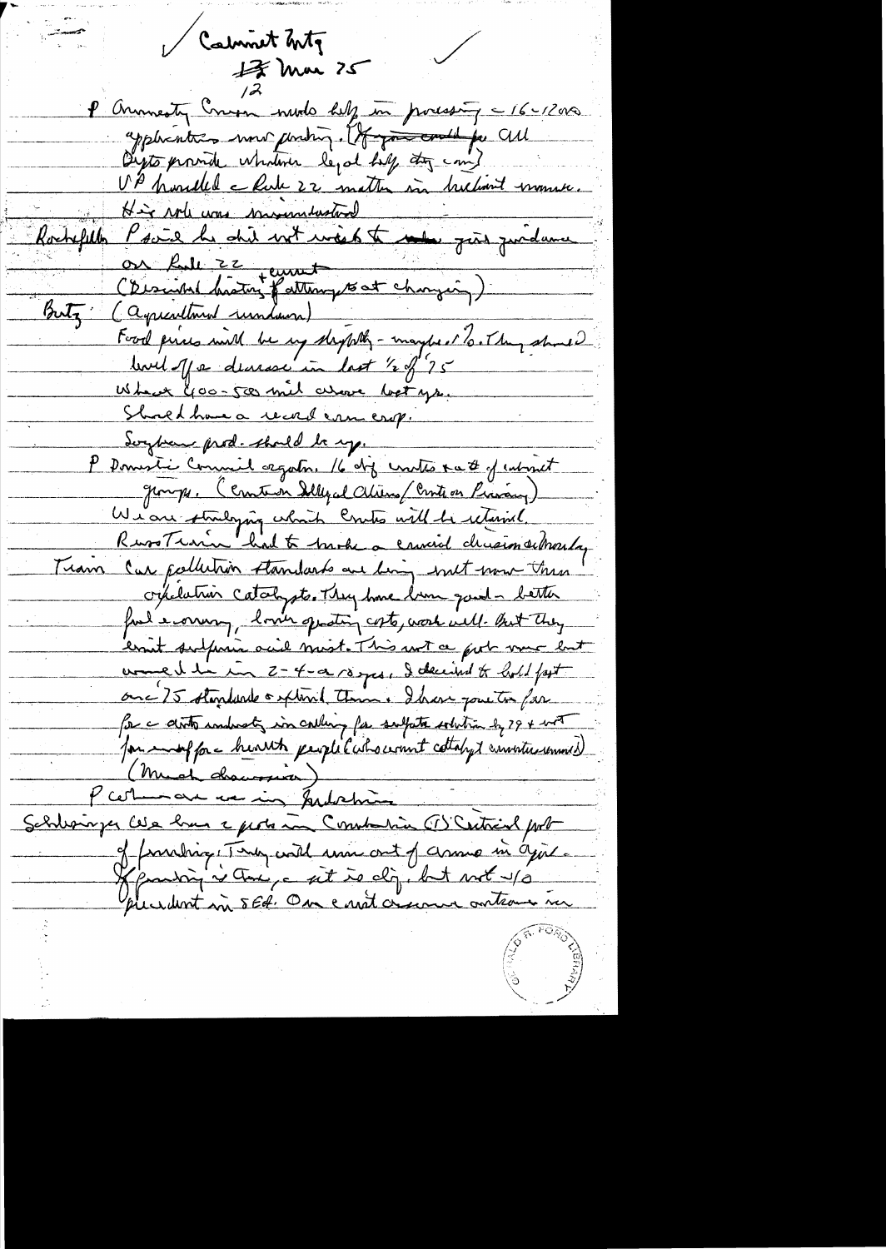Calment Inty حست  $17$  Mm  $25$ P annivesty Cross nudo help in poressing = 16-1200 application more photog. It go could for CUL Digts provide whatever legal hill any com? UP houded chate 22 matter in helant moment. Rochefille Psair he did not une to the gros quidance Or full 22 jeunet Buty (aquicultural rundams) Food pieces with he up shippeling - maybe of To. They should When Goo-500 mil alove betys. Shoed home a record camerop. Soyben prod. shall be up. P Domestie Commit esgato. 16 de contre ra & of internet groups. (Constan Illy al Chiens/Control Pravang) Wian striliging which Crutes will be returned.<br>Russ Train had to track a causial chrision subracly Train Car publishin standards are bing with more this ordelation catalysts. They have been good - better ful every, love grating costs, work will but they ernit subparin acid most. This wit a good vous lut women he in 2-4-02/03 yes, I decided to hold fast onc 75 standarde o plant temme. Ihave pour to far for a disto inducty in calling for subpate whitia by 29 + with for enough c hearth people colorerant cottaly & constructional (Much drawsser) P certinaux ve in Judanie Schlesinger Cela hun a probation Commanda (I) Centrial port of franching They will una cout of chance in agit. Kjantin i Ani, e sit is dig but not up plur dent mi 5 Ed. One entit croiseme ontrous nu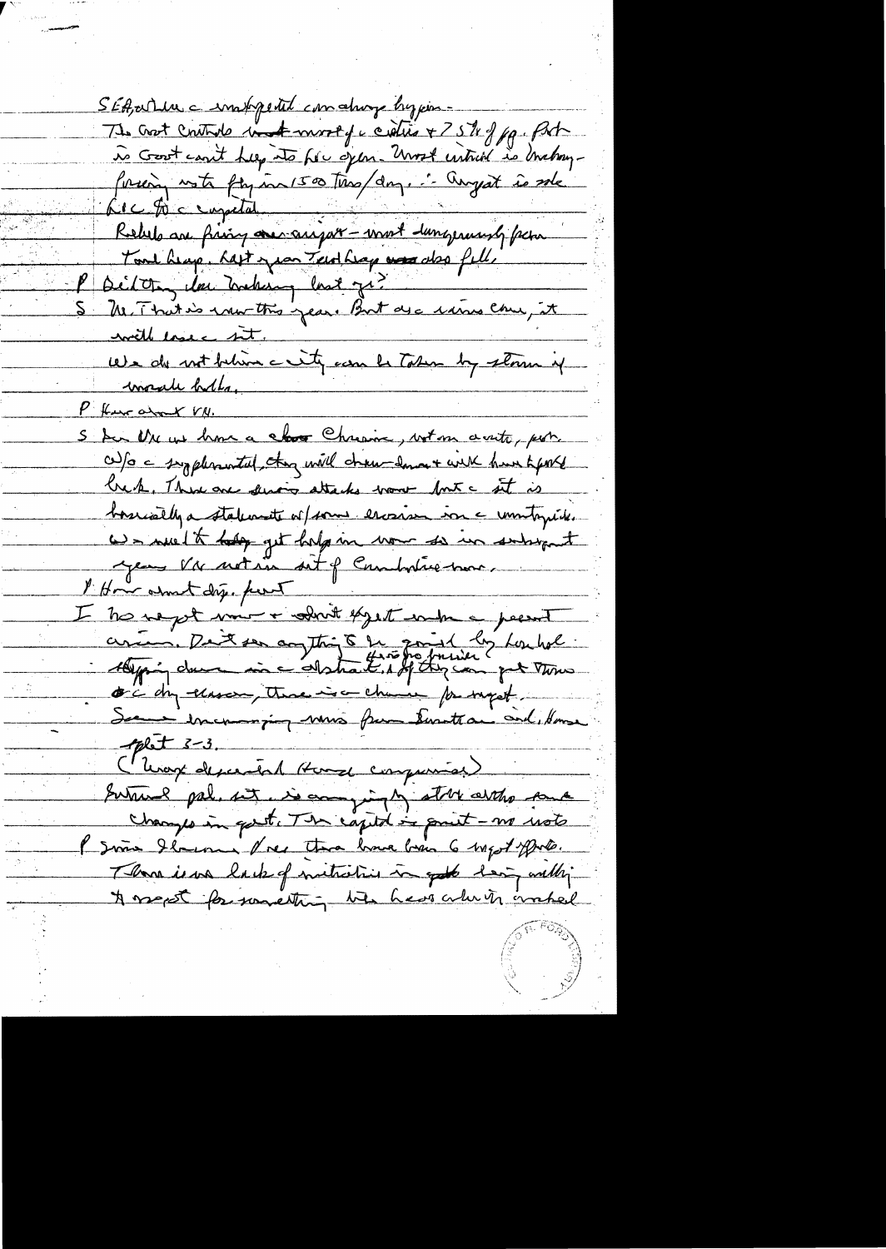SEA, article = importal comating by poss-Tte Croit Cristoile in America et de la Forte de la Forte forceàn vote fan in 1500 très dans. " Angest és sole Le c Di c empetat Fort heap, hast year Tenthings was also fell. P silver les meters lest je? S M. That is now this year. But are rains can, it with lose int. We do not behim a sity can be Taken by storm if invade holls, P fun about VN. S bir Nu us home a close Chrisine, wet on a vite, por also a syptemental, they will chan down with hun kepte breck, There are devoir attacks work fort a sit is bossivally a staturante of some escosism in a unitogratic We welk hap get help in now so in subsport year viv notain sit of Combatric mor l'Hoir assunt dig. pour I tre ne pet voir + admit espect endre a peerent arian, Dant ser augthing 5 fr quint les houbel oc day elaser, there is a chance for suget See encouraging mois from Euroteau and Kome plet  $3-3$ . ( Unage descendant House compression) Survey pal, set us compiny store artho same changes in gest. The capital is print - no ust I since Ilmenne Vies than have been 6 wegot prote. Those is use he to of mitriciais in good hear with A most for something the hear where makel